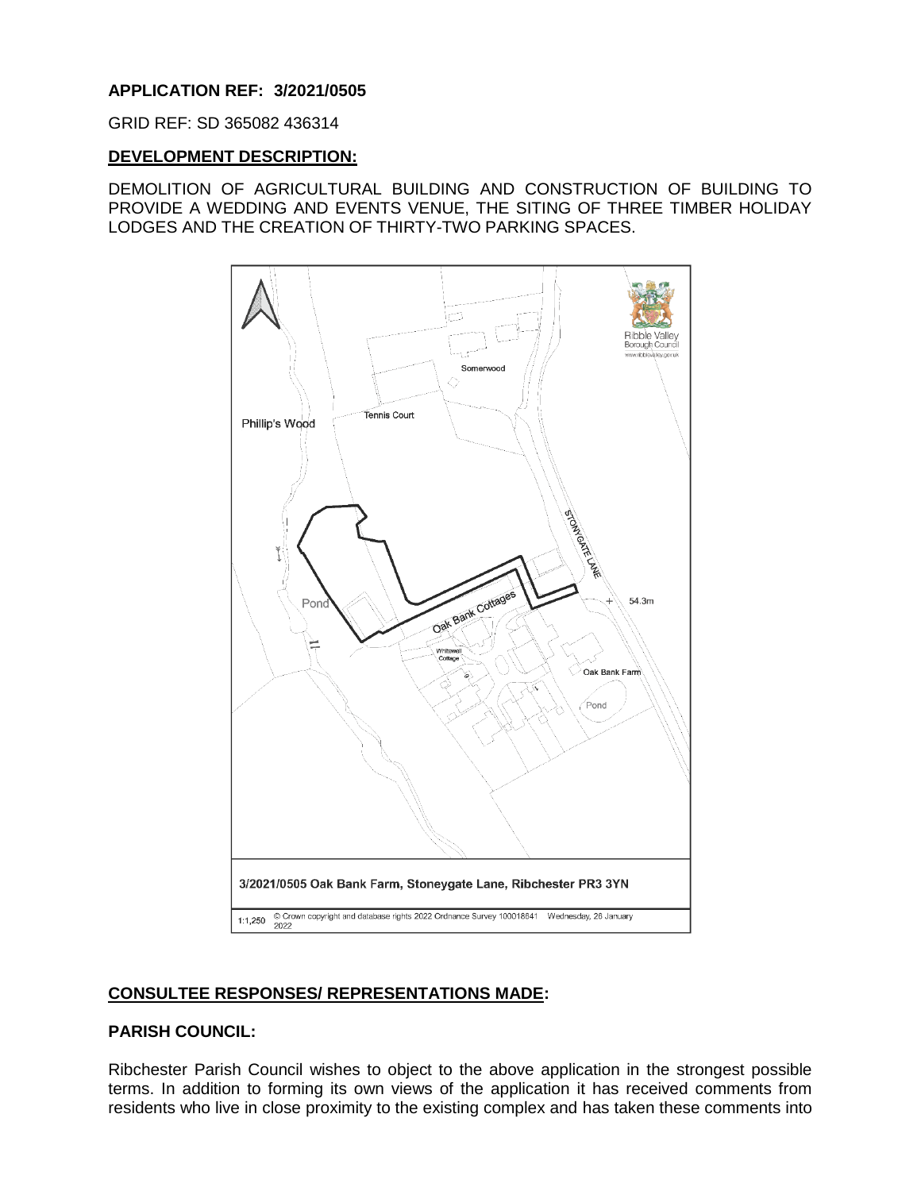# **APPLICATION REF: 3/2021/0505**

GRID REF: SD 365082 436314

#### **DEVELOPMENT DESCRIPTION:**

DEMOLITION OF AGRICULTURAL BUILDING AND CONSTRUCTION OF BUILDING TO PROVIDE A WEDDING AND EVENTS VENUE, THE SITING OF THREE TIMBER HOLIDAY LODGES AND THE CREATION OF THIRTY-TWO PARKING SPACES.



#### **CONSULTEE RESPONSES/ REPRESENTATIONS MADE:**

#### **PARISH COUNCIL:**

Ribchester Parish Council wishes to object to the above application in the strongest possible terms. In addition to forming its own views of the application it has received comments from residents who live in close proximity to the existing complex and has taken these comments into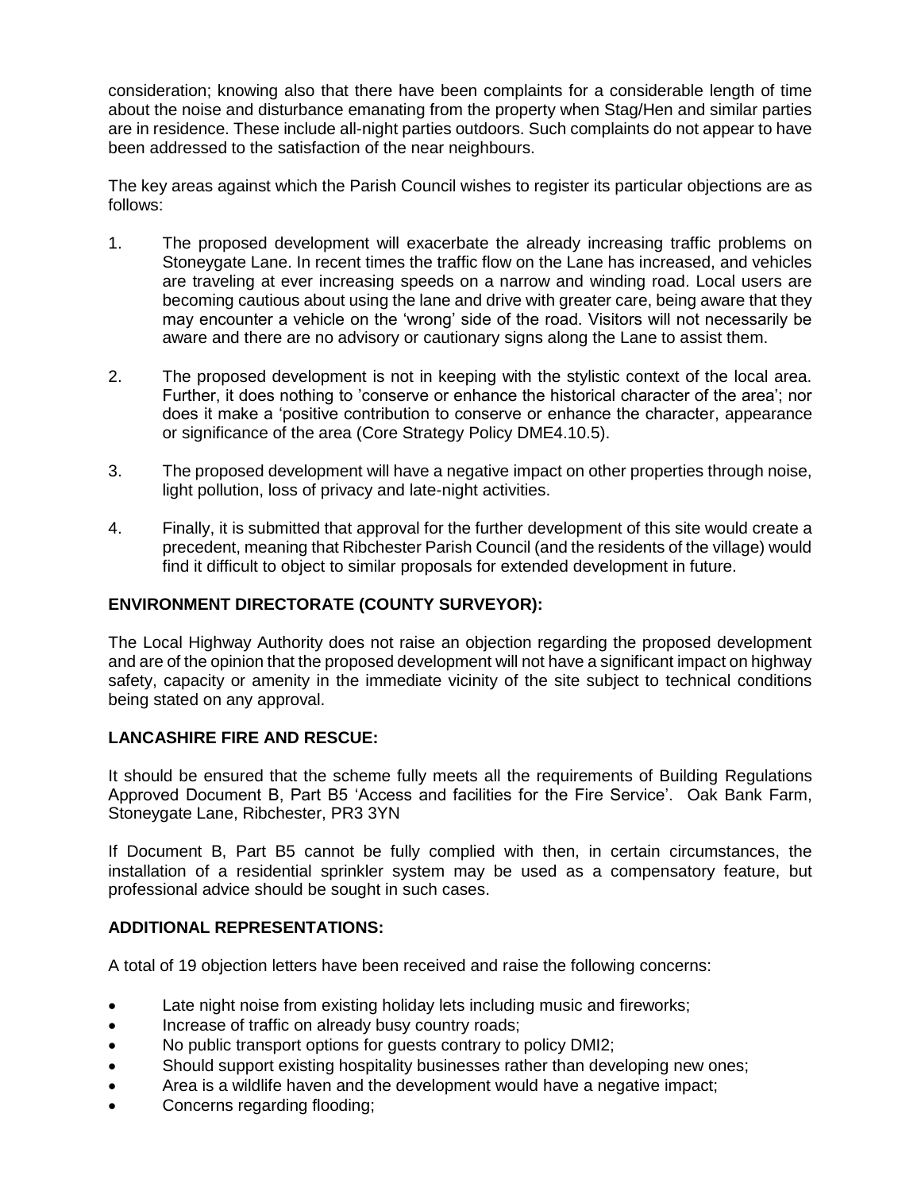consideration; knowing also that there have been complaints for a considerable length of time about the noise and disturbance emanating from the property when Stag/Hen and similar parties are in residence. These include all-night parties outdoors. Such complaints do not appear to have been addressed to the satisfaction of the near neighbours.

The key areas against which the Parish Council wishes to register its particular objections are as follows:

- 1. The proposed development will exacerbate the already increasing traffic problems on Stoneygate Lane. In recent times the traffic flow on the Lane has increased, and vehicles are traveling at ever increasing speeds on a narrow and winding road. Local users are becoming cautious about using the lane and drive with greater care, being aware that they may encounter a vehicle on the 'wrong' side of the road. Visitors will not necessarily be aware and there are no advisory or cautionary signs along the Lane to assist them.
- 2. The proposed development is not in keeping with the stylistic context of the local area. Further, it does nothing to 'conserve or enhance the historical character of the area'; nor does it make a 'positive contribution to conserve or enhance the character, appearance or significance of the area (Core Strategy Policy DME4.10.5).
- 3. The proposed development will have a negative impact on other properties through noise, light pollution, loss of privacy and late-night activities.
- 4. Finally, it is submitted that approval for the further development of this site would create a precedent, meaning that Ribchester Parish Council (and the residents of the village) would find it difficult to object to similar proposals for extended development in future.

# **ENVIRONMENT DIRECTORATE (COUNTY SURVEYOR):**

The Local Highway Authority does not raise an objection regarding the proposed development and are of the opinion that the proposed development will not have a significant impact on highway safety, capacity or amenity in the immediate vicinity of the site subject to technical conditions being stated on any approval.

# **LANCASHIRE FIRE AND RESCUE:**

It should be ensured that the scheme fully meets all the requirements of Building Regulations Approved Document B, Part B5 'Access and facilities for the Fire Service'. Oak Bank Farm, Stoneygate Lane, Ribchester, PR3 3YN

If Document B, Part B5 cannot be fully complied with then, in certain circumstances, the installation of a residential sprinkler system may be used as a compensatory feature, but professional advice should be sought in such cases.

# **ADDITIONAL REPRESENTATIONS:**

A total of 19 objection letters have been received and raise the following concerns:

- Late night noise from existing holiday lets including music and fireworks;
- Increase of traffic on already busy country roads;
- No public transport options for guests contrary to policy DMI2;
- Should support existing hospitality businesses rather than developing new ones;
- Area is a wildlife haven and the development would have a negative impact;
- Concerns regarding flooding;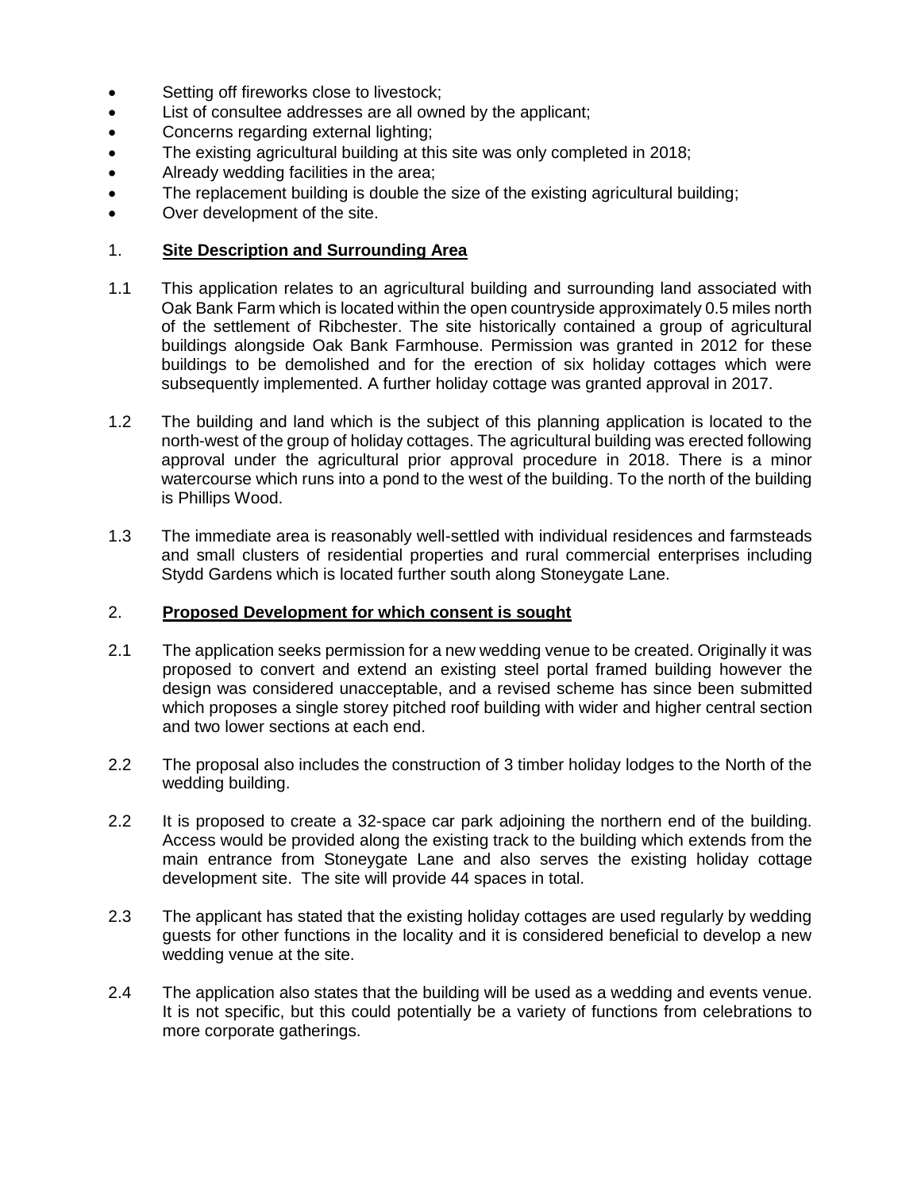- Setting off fireworks close to livestock;
- List of consultee addresses are all owned by the applicant;
- Concerns regarding external lighting;
- The existing agricultural building at this site was only completed in 2018;
- Already wedding facilities in the area;
- The replacement building is double the size of the existing agricultural building;
- Over development of the site.

### 1. **Site Description and Surrounding Area**

- 1.1 This application relates to an agricultural building and surrounding land associated with Oak Bank Farm which is located within the open countryside approximately 0.5 miles north of the settlement of Ribchester. The site historically contained a group of agricultural buildings alongside Oak Bank Farmhouse. Permission was granted in 2012 for these buildings to be demolished and for the erection of six holiday cottages which were subsequently implemented. A further holiday cottage was granted approval in 2017.
- 1.2 The building and land which is the subject of this planning application is located to the north-west of the group of holiday cottages. The agricultural building was erected following approval under the agricultural prior approval procedure in 2018. There is a minor watercourse which runs into a pond to the west of the building. To the north of the building is Phillips Wood.
- 1.3 The immediate area is reasonably well-settled with individual residences and farmsteads and small clusters of residential properties and rural commercial enterprises including Stydd Gardens which is located further south along Stoneygate Lane.

# 2. **Proposed Development for which consent is sought**

- 2.1 The application seeks permission for a new wedding venue to be created. Originally it was proposed to convert and extend an existing steel portal framed building however the design was considered unacceptable, and a revised scheme has since been submitted which proposes a single storey pitched roof building with wider and higher central section and two lower sections at each end.
- 2.2 The proposal also includes the construction of 3 timber holiday lodges to the North of the wedding building.
- 2.2 It is proposed to create a 32-space car park adjoining the northern end of the building. Access would be provided along the existing track to the building which extends from the main entrance from Stoneygate Lane and also serves the existing holiday cottage development site. The site will provide 44 spaces in total.
- 2.3 The applicant has stated that the existing holiday cottages are used regularly by wedding guests for other functions in the locality and it is considered beneficial to develop a new wedding venue at the site.
- 2.4 The application also states that the building will be used as a wedding and events venue. It is not specific, but this could potentially be a variety of functions from celebrations to more corporate gatherings.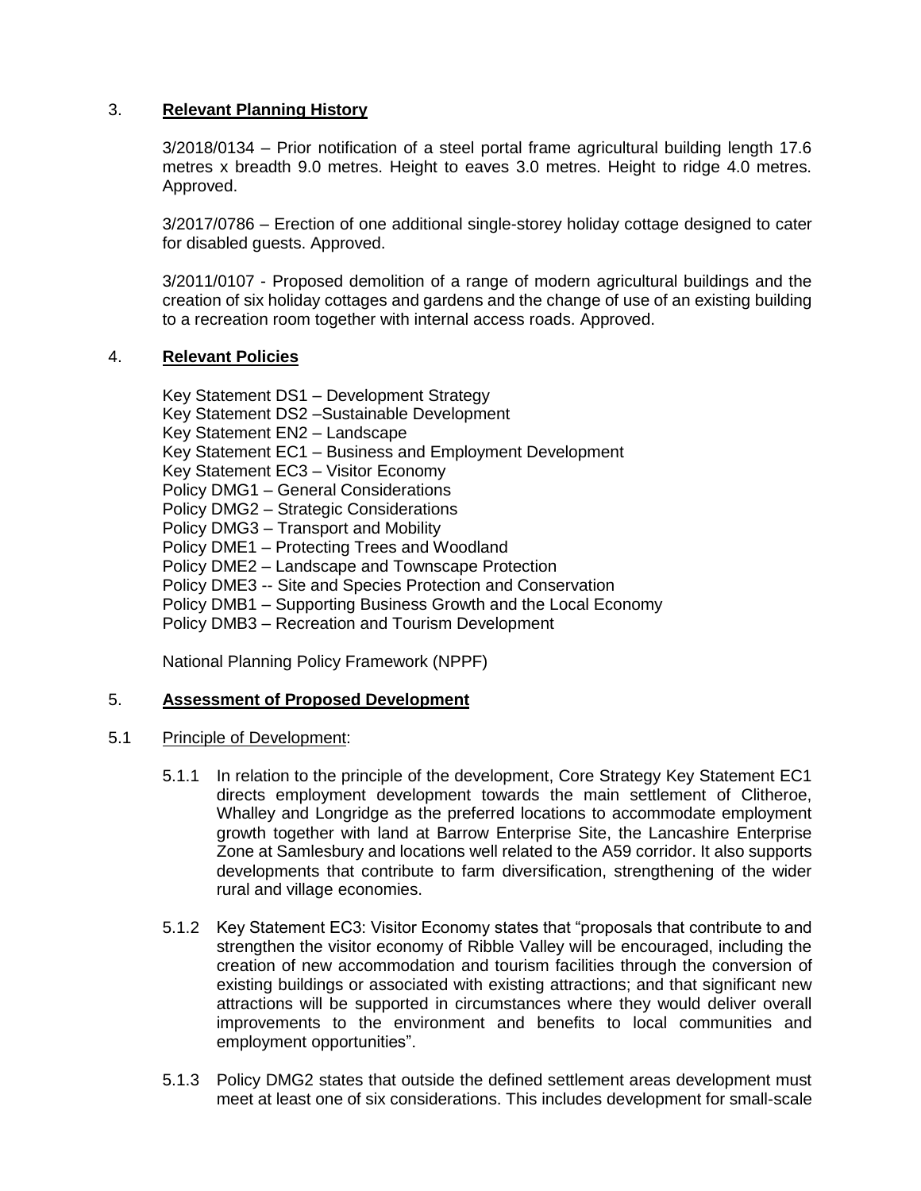# 3. **Relevant Planning History**

3/2018/0134 – Prior notification of a steel portal frame agricultural building length 17.6 metres x breadth 9.0 metres. Height to eaves 3.0 metres. Height to ridge 4.0 metres. Approved.

3/2017/0786 – Erection of one additional single-storey holiday cottage designed to cater for disabled guests. Approved.

3/2011/0107 - Proposed demolition of a range of modern agricultural buildings and the creation of six holiday cottages and gardens and the change of use of an existing building to a recreation room together with internal access roads. Approved.

#### 4. **Relevant Policies**

Key Statement DS1 – Development Strategy Key Statement DS2 –Sustainable Development Key Statement EN2 – Landscape Key Statement EC1 – Business and Employment Development Key Statement EC3 – Visitor Economy Policy DMG1 – General Considerations Policy DMG2 – Strategic Considerations Policy DMG3 – Transport and Mobility Policy DME1 – Protecting Trees and Woodland Policy DME2 – Landscape and Townscape Protection Policy DME3 -- Site and Species Protection and Conservation Policy DMB1 – Supporting Business Growth and the Local Economy Policy DMB3 – Recreation and Tourism Development

National Planning Policy Framework (NPPF)

#### 5. **Assessment of Proposed Development**

#### 5.1 Principle of Development:

- 5.1.1 In relation to the principle of the development, Core Strategy Key Statement EC1 directs employment development towards the main settlement of Clitheroe, Whalley and Longridge as the preferred locations to accommodate employment growth together with land at Barrow Enterprise Site, the Lancashire Enterprise Zone at Samlesbury and locations well related to the A59 corridor. It also supports developments that contribute to farm diversification, strengthening of the wider rural and village economies.
- 5.1.2 Key Statement EC3: Visitor Economy states that "proposals that contribute to and strengthen the visitor economy of Ribble Valley will be encouraged, including the creation of new accommodation and tourism facilities through the conversion of existing buildings or associated with existing attractions; and that significant new attractions will be supported in circumstances where they would deliver overall improvements to the environment and benefits to local communities and employment opportunities".
- 5.1.3 Policy DMG2 states that outside the defined settlement areas development must meet at least one of six considerations. This includes development for small-scale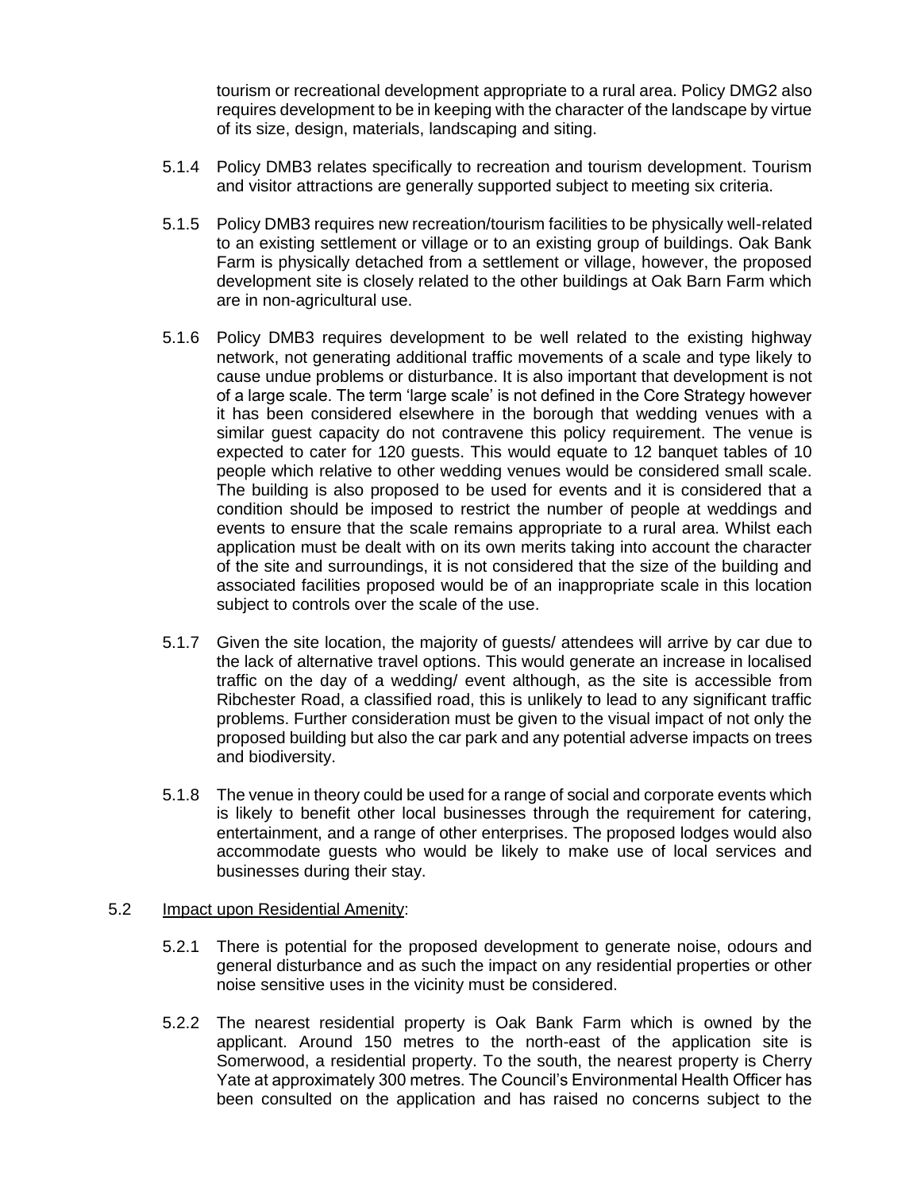tourism or recreational development appropriate to a rural area. Policy DMG2 also requires development to be in keeping with the character of the landscape by virtue of its size, design, materials, landscaping and siting.

- 5.1.4 Policy DMB3 relates specifically to recreation and tourism development. Tourism and visitor attractions are generally supported subject to meeting six criteria.
- 5.1.5 Policy DMB3 requires new recreation/tourism facilities to be physically well-related to an existing settlement or village or to an existing group of buildings. Oak Bank Farm is physically detached from a settlement or village, however, the proposed development site is closely related to the other buildings at Oak Barn Farm which are in non-agricultural use.
- 5.1.6 Policy DMB3 requires development to be well related to the existing highway network, not generating additional traffic movements of a scale and type likely to cause undue problems or disturbance. It is also important that development is not of a large scale. The term 'large scale' is not defined in the Core Strategy however it has been considered elsewhere in the borough that wedding venues with a similar guest capacity do not contravene this policy requirement. The venue is expected to cater for 120 guests. This would equate to 12 banquet tables of 10 people which relative to other wedding venues would be considered small scale. The building is also proposed to be used for events and it is considered that a condition should be imposed to restrict the number of people at weddings and events to ensure that the scale remains appropriate to a rural area. Whilst each application must be dealt with on its own merits taking into account the character of the site and surroundings, it is not considered that the size of the building and associated facilities proposed would be of an inappropriate scale in this location subject to controls over the scale of the use.
- 5.1.7 Given the site location, the majority of guests/ attendees will arrive by car due to the lack of alternative travel options. This would generate an increase in localised traffic on the day of a wedding/ event although, as the site is accessible from Ribchester Road, a classified road, this is unlikely to lead to any significant traffic problems. Further consideration must be given to the visual impact of not only the proposed building but also the car park and any potential adverse impacts on trees and biodiversity.
- 5.1.8 The venue in theory could be used for a range of social and corporate events which is likely to benefit other local businesses through the requirement for catering, entertainment, and a range of other enterprises. The proposed lodges would also accommodate guests who would be likely to make use of local services and businesses during their stay.

#### 5.2 Impact upon Residential Amenity:

- 5.2.1 There is potential for the proposed development to generate noise, odours and general disturbance and as such the impact on any residential properties or other noise sensitive uses in the vicinity must be considered.
- 5.2.2 The nearest residential property is Oak Bank Farm which is owned by the applicant. Around 150 metres to the north-east of the application site is Somerwood, a residential property. To the south, the nearest property is Cherry Yate at approximately 300 metres. The Council's Environmental Health Officer has been consulted on the application and has raised no concerns subject to the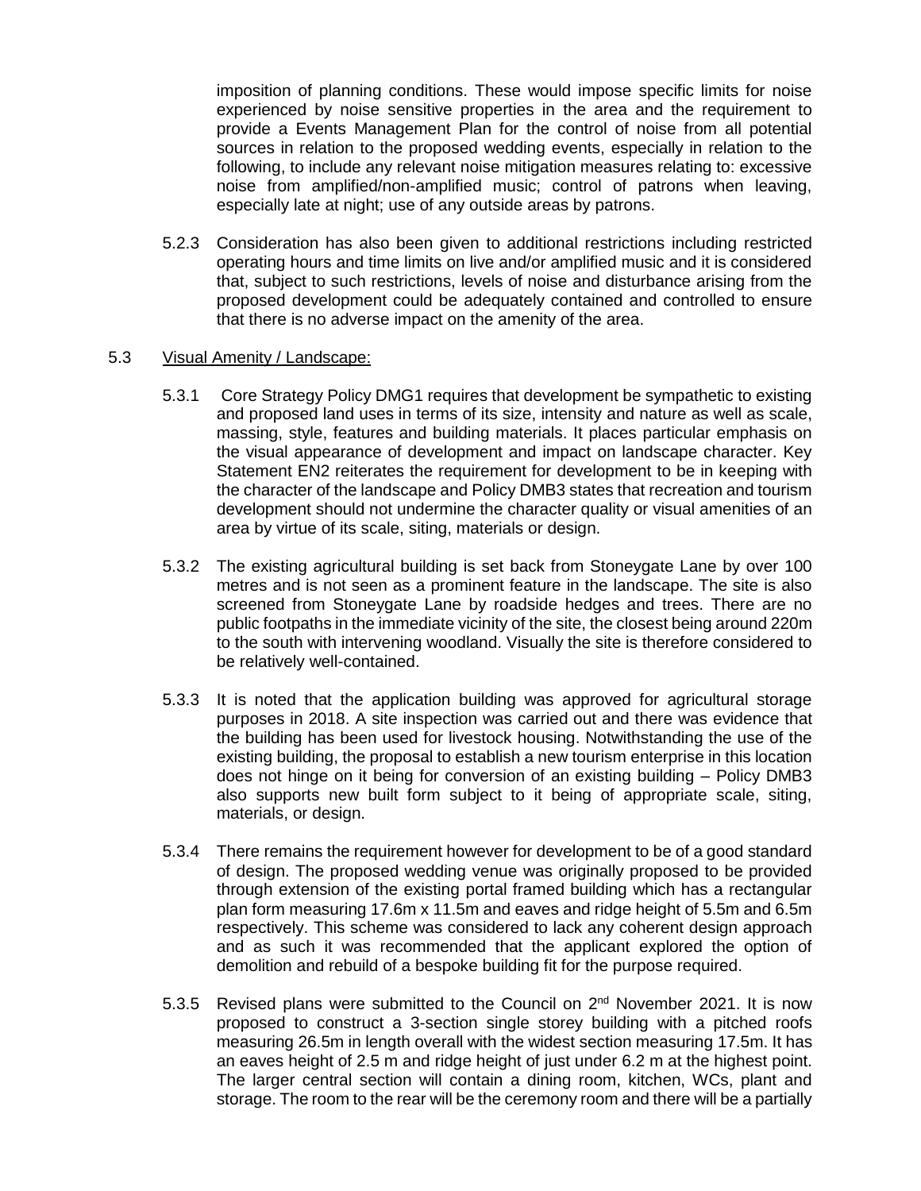imposition of planning conditions. These would impose specific limits for noise experienced by noise sensitive properties in the area and the requirement to provide a Events Management Plan for the control of noise from all potential sources in relation to the proposed wedding events, especially in relation to the following, to include any relevant noise mitigation measures relating to: excessive noise from amplified/non-amplified music; control of patrons when leaving, especially late at night; use of any outside areas by patrons.

5.2.3 Consideration has also been given to additional restrictions including restricted operating hours and time limits on live and/or amplified music and it is considered that, subject to such restrictions, levels of noise and disturbance arising from the proposed development could be adequately contained and controlled to ensure that there is no adverse impact on the amenity of the area.

#### 5.3 Visual Amenity / Landscape:

- 5.3.1 Core Strategy Policy DMG1 requires that development be sympathetic to existing and proposed land uses in terms of its size, intensity and nature as well as scale, massing, style, features and building materials. It places particular emphasis on the visual appearance of development and impact on landscape character. Key Statement EN2 reiterates the requirement for development to be in keeping with the character of the landscape and Policy DMB3 states that recreation and tourism development should not undermine the character quality or visual amenities of an area by virtue of its scale, siting, materials or design.
- 5.3.2 The existing agricultural building is set back from Stoneygate Lane by over 100 metres and is not seen as a prominent feature in the landscape. The site is also screened from Stoneygate Lane by roadside hedges and trees. There are no public footpaths in the immediate vicinity of the site, the closest being around 220m to the south with intervening woodland. Visually the site is therefore considered to be relatively well-contained.
- 5.3.3 It is noted that the application building was approved for agricultural storage purposes in 2018. A site inspection was carried out and there was evidence that the building has been used for livestock housing. Notwithstanding the use of the existing building, the proposal to establish a new tourism enterprise in this location does not hinge on it being for conversion of an existing building – Policy DMB3 also supports new built form subject to it being of appropriate scale, siting, materials, or design.
- 5.3.4 There remains the requirement however for development to be of a good standard of design. The proposed wedding venue was originally proposed to be provided through extension of the existing portal framed building which has a rectangular plan form measuring 17.6m x 11.5m and eaves and ridge height of 5.5m and 6.5m respectively. This scheme was considered to lack any coherent design approach and as such it was recommended that the applicant explored the option of demolition and rebuild of a bespoke building fit for the purpose required.
- 5.3.5 Revised plans were submitted to the Council on 2<sup>nd</sup> November 2021. It is now proposed to construct a 3-section single storey building with a pitched roofs measuring 26.5m in length overall with the widest section measuring 17.5m. It has an eaves height of 2.5 m and ridge height of just under 6.2 m at the highest point. The larger central section will contain a dining room, kitchen, WCs, plant and storage. The room to the rear will be the ceremony room and there will be a partially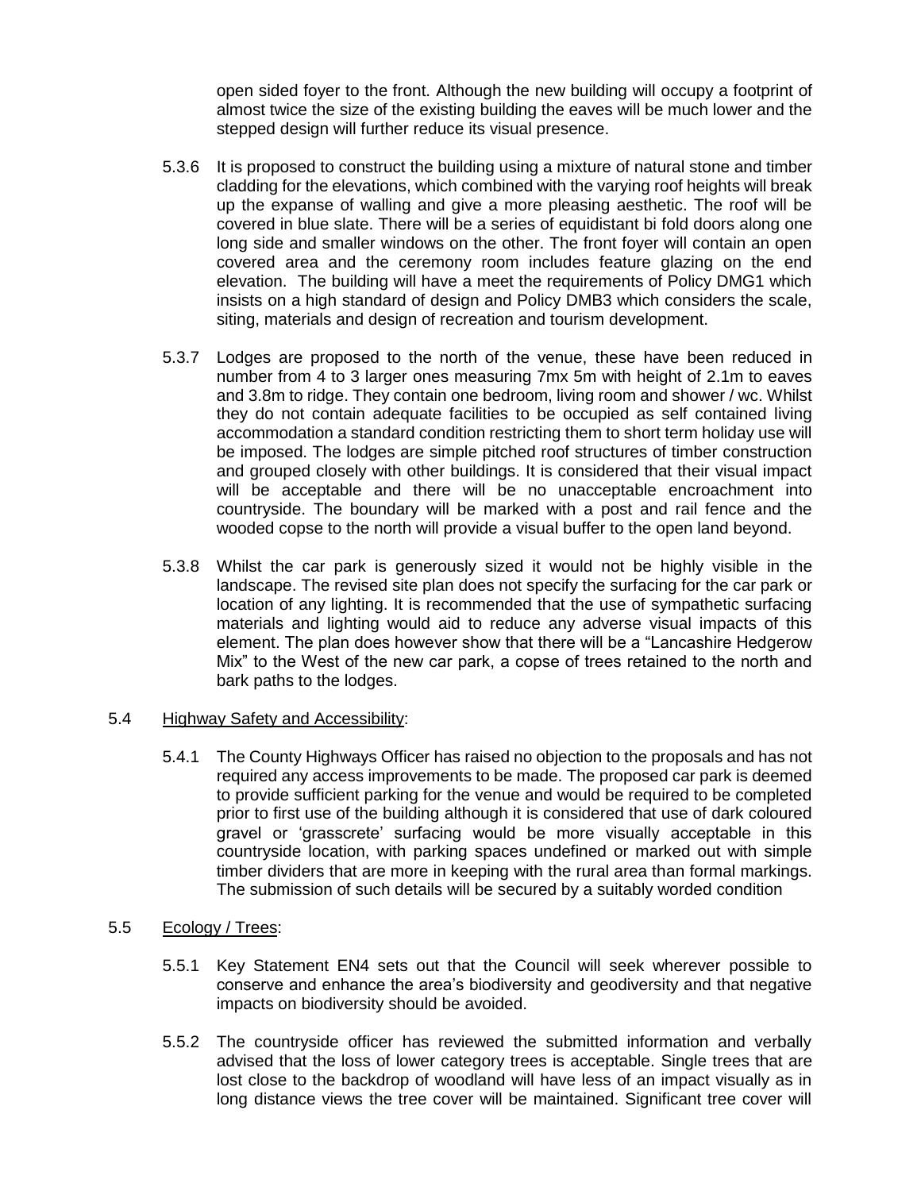open sided foyer to the front. Although the new building will occupy a footprint of almost twice the size of the existing building the eaves will be much lower and the stepped design will further reduce its visual presence.

- 5.3.6 It is proposed to construct the building using a mixture of natural stone and timber cladding for the elevations, which combined with the varying roof heights will break up the expanse of walling and give a more pleasing aesthetic. The roof will be covered in blue slate. There will be a series of equidistant bi fold doors along one long side and smaller windows on the other. The front foyer will contain an open covered area and the ceremony room includes feature glazing on the end elevation. The building will have a meet the requirements of Policy DMG1 which insists on a high standard of design and Policy DMB3 which considers the scale, siting, materials and design of recreation and tourism development.
- 5.3.7 Lodges are proposed to the north of the venue, these have been reduced in number from 4 to 3 larger ones measuring 7mx 5m with height of 2.1m to eaves and 3.8m to ridge. They contain one bedroom, living room and shower / wc. Whilst they do not contain adequate facilities to be occupied as self contained living accommodation a standard condition restricting them to short term holiday use will be imposed. The lodges are simple pitched roof structures of timber construction and grouped closely with other buildings. It is considered that their visual impact will be acceptable and there will be no unacceptable encroachment into countryside. The boundary will be marked with a post and rail fence and the wooded copse to the north will provide a visual buffer to the open land beyond.
- 5.3.8 Whilst the car park is generously sized it would not be highly visible in the landscape. The revised site plan does not specify the surfacing for the car park or location of any lighting. It is recommended that the use of sympathetic surfacing materials and lighting would aid to reduce any adverse visual impacts of this element. The plan does however show that there will be a "Lancashire Hedgerow Mix" to the West of the new car park, a copse of trees retained to the north and bark paths to the lodges.

#### 5.4 Highway Safety and Accessibility:

5.4.1 The County Highways Officer has raised no objection to the proposals and has not required any access improvements to be made. The proposed car park is deemed to provide sufficient parking for the venue and would be required to be completed prior to first use of the building although it is considered that use of dark coloured gravel or 'grasscrete' surfacing would be more visually acceptable in this countryside location, with parking spaces undefined or marked out with simple timber dividers that are more in keeping with the rural area than formal markings. The submission of such details will be secured by a suitably worded condition

# 5.5 Ecology / Trees:

- 5.5.1 Key Statement EN4 sets out that the Council will seek wherever possible to conserve and enhance the area's biodiversity and geodiversity and that negative impacts on biodiversity should be avoided.
- 5.5.2 The countryside officer has reviewed the submitted information and verbally advised that the loss of lower category trees is acceptable. Single trees that are lost close to the backdrop of woodland will have less of an impact visually as in long distance views the tree cover will be maintained. Significant tree cover will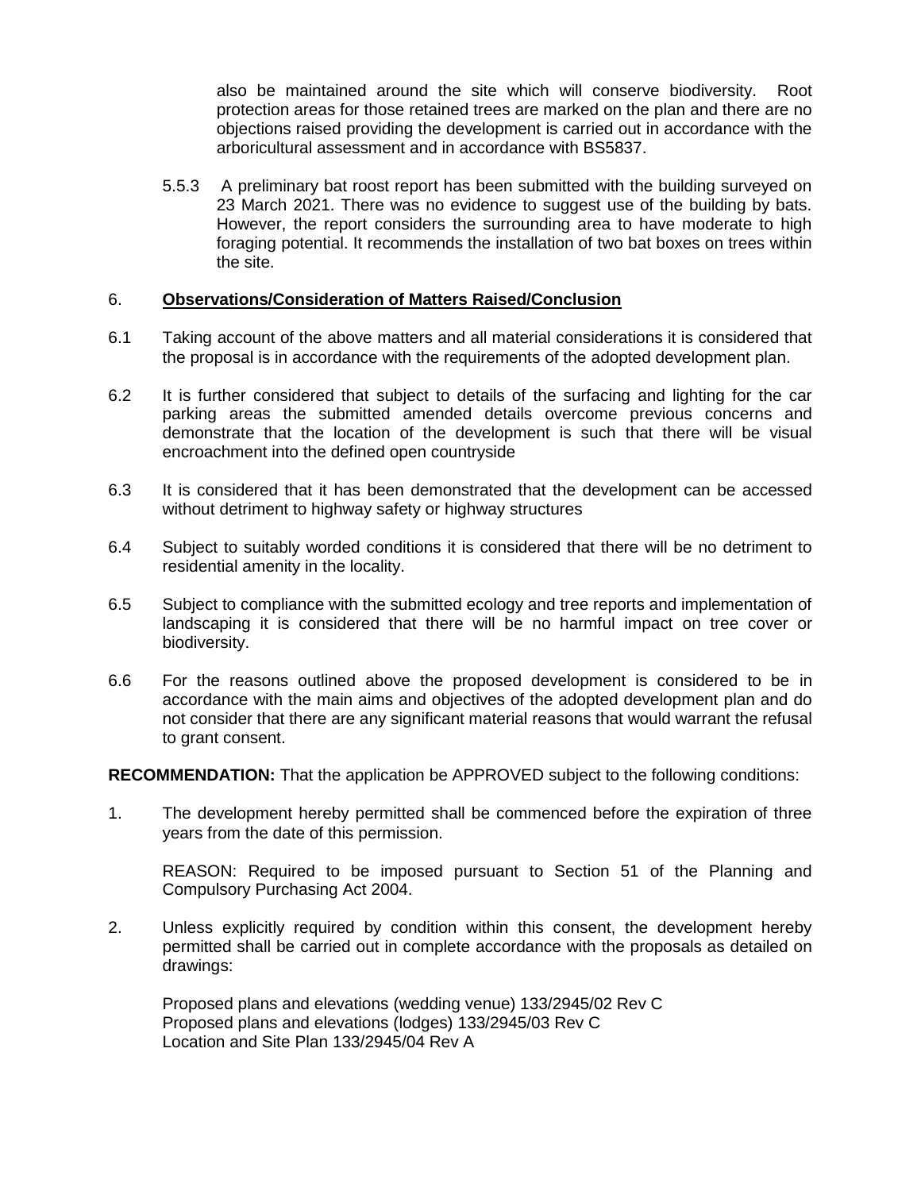also be maintained around the site which will conserve biodiversity. Root protection areas for those retained trees are marked on the plan and there are no objections raised providing the development is carried out in accordance with the arboricultural assessment and in accordance with BS5837.

5.5.3 A preliminary bat roost report has been submitted with the building surveyed on 23 March 2021. There was no evidence to suggest use of the building by bats. However, the report considers the surrounding area to have moderate to high foraging potential. It recommends the installation of two bat boxes on trees within the site.

### 6. **Observations/Consideration of Matters Raised/Conclusion**

- 6.1 Taking account of the above matters and all material considerations it is considered that the proposal is in accordance with the requirements of the adopted development plan.
- 6.2 It is further considered that subject to details of the surfacing and lighting for the car parking areas the submitted amended details overcome previous concerns and demonstrate that the location of the development is such that there will be visual encroachment into the defined open countryside
- 6.3 It is considered that it has been demonstrated that the development can be accessed without detriment to highway safety or highway structures
- 6.4 Subject to suitably worded conditions it is considered that there will be no detriment to residential amenity in the locality.
- 6.5 Subject to compliance with the submitted ecology and tree reports and implementation of landscaping it is considered that there will be no harmful impact on tree cover or biodiversity.
- 6.6 For the reasons outlined above the proposed development is considered to be in accordance with the main aims and objectives of the adopted development plan and do not consider that there are any significant material reasons that would warrant the refusal to grant consent.

**RECOMMENDATION:** That the application be APPROVED subject to the following conditions:

1. The development hereby permitted shall be commenced before the expiration of three years from the date of this permission.

REASON: Required to be imposed pursuant to Section 51 of the Planning and Compulsory Purchasing Act 2004.

2. Unless explicitly required by condition within this consent, the development hereby permitted shall be carried out in complete accordance with the proposals as detailed on drawings:

Proposed plans and elevations (wedding venue) 133/2945/02 Rev C Proposed plans and elevations (lodges) 133/2945/03 Rev C Location and Site Plan 133/2945/04 Rev A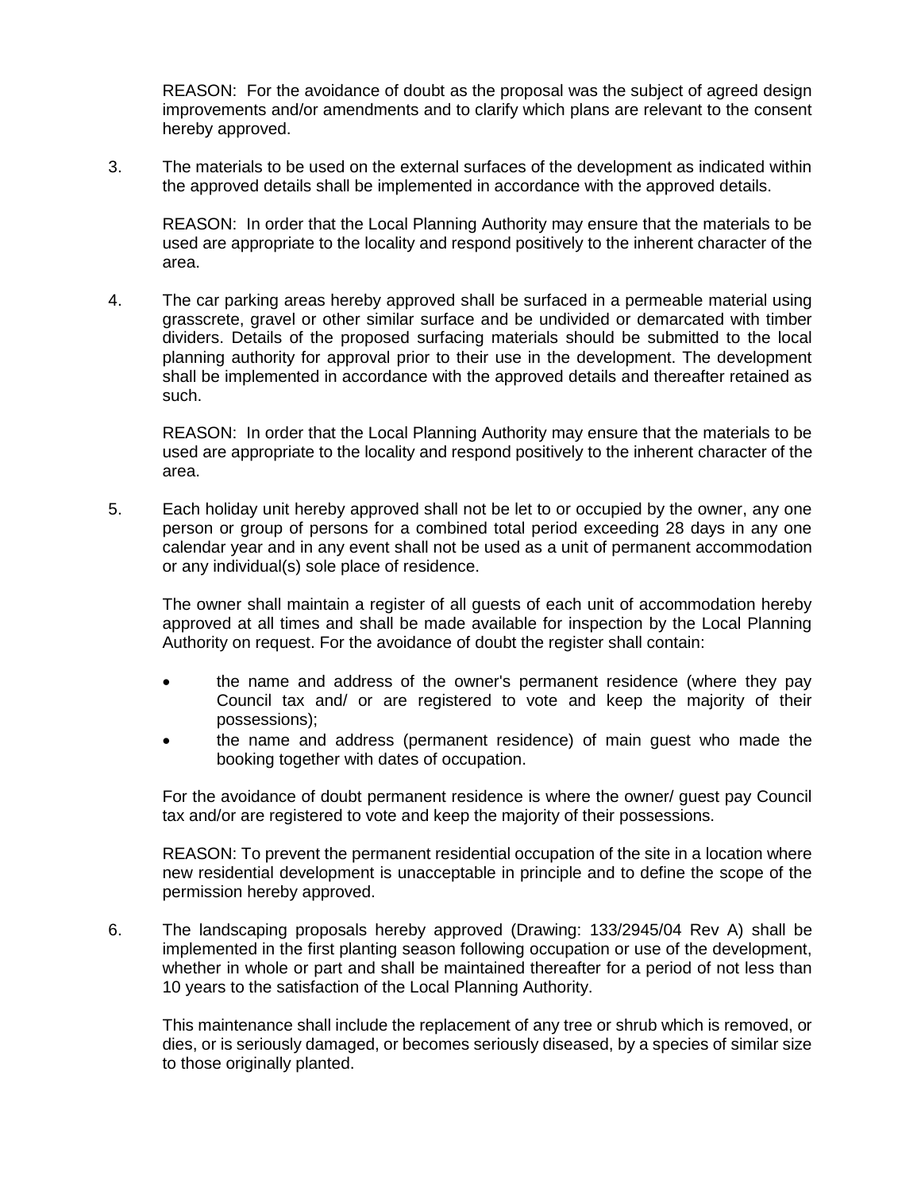REASON: For the avoidance of doubt as the proposal was the subject of agreed design improvements and/or amendments and to clarify which plans are relevant to the consent hereby approved.

3. The materials to be used on the external surfaces of the development as indicated within the approved details shall be implemented in accordance with the approved details.

REASON: In order that the Local Planning Authority may ensure that the materials to be used are appropriate to the locality and respond positively to the inherent character of the area.

4. The car parking areas hereby approved shall be surfaced in a permeable material using grasscrete, gravel or other similar surface and be undivided or demarcated with timber dividers. Details of the proposed surfacing materials should be submitted to the local planning authority for approval prior to their use in the development. The development shall be implemented in accordance with the approved details and thereafter retained as such.

REASON: In order that the Local Planning Authority may ensure that the materials to be used are appropriate to the locality and respond positively to the inherent character of the area.

5. Each holiday unit hereby approved shall not be let to or occupied by the owner, any one person or group of persons for a combined total period exceeding 28 days in any one calendar year and in any event shall not be used as a unit of permanent accommodation or any individual(s) sole place of residence.

The owner shall maintain a register of all guests of each unit of accommodation hereby approved at all times and shall be made available for inspection by the Local Planning Authority on request. For the avoidance of doubt the register shall contain:

- the name and address of the owner's permanent residence (where they pay Council tax and/ or are registered to vote and keep the majority of their possessions);
- the name and address (permanent residence) of main guest who made the booking together with dates of occupation.

For the avoidance of doubt permanent residence is where the owner/ guest pay Council tax and/or are registered to vote and keep the majority of their possessions.

REASON: To prevent the permanent residential occupation of the site in a location where new residential development is unacceptable in principle and to define the scope of the permission hereby approved.

6. The landscaping proposals hereby approved (Drawing: 133/2945/04 Rev A) shall be implemented in the first planting season following occupation or use of the development, whether in whole or part and shall be maintained thereafter for a period of not less than 10 years to the satisfaction of the Local Planning Authority.

This maintenance shall include the replacement of any tree or shrub which is removed, or dies, or is seriously damaged, or becomes seriously diseased, by a species of similar size to those originally planted.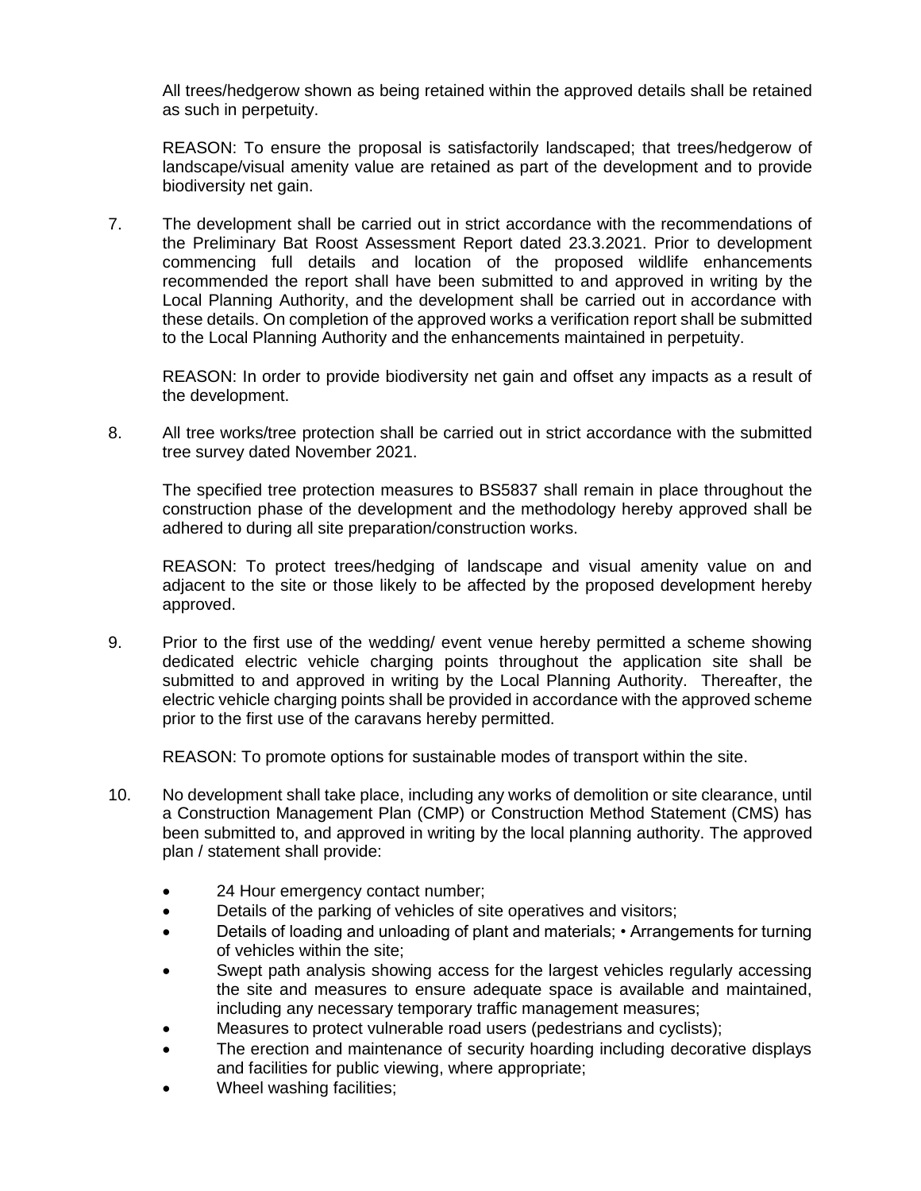All trees/hedgerow shown as being retained within the approved details shall be retained as such in perpetuity.

REASON: To ensure the proposal is satisfactorily landscaped; that trees/hedgerow of landscape/visual amenity value are retained as part of the development and to provide biodiversity net gain.

7. The development shall be carried out in strict accordance with the recommendations of the Preliminary Bat Roost Assessment Report dated 23.3.2021. Prior to development commencing full details and location of the proposed wildlife enhancements recommended the report shall have been submitted to and approved in writing by the Local Planning Authority, and the development shall be carried out in accordance with these details. On completion of the approved works a verification report shall be submitted to the Local Planning Authority and the enhancements maintained in perpetuity.

REASON: In order to provide biodiversity net gain and offset any impacts as a result of the development.

8. All tree works/tree protection shall be carried out in strict accordance with the submitted tree survey dated November 2021.

The specified tree protection measures to BS5837 shall remain in place throughout the construction phase of the development and the methodology hereby approved shall be adhered to during all site preparation/construction works.

REASON: To protect trees/hedging of landscape and visual amenity value on and adjacent to the site or those likely to be affected by the proposed development hereby approved.

9. Prior to the first use of the wedding/ event venue hereby permitted a scheme showing dedicated electric vehicle charging points throughout the application site shall be submitted to and approved in writing by the Local Planning Authority. Thereafter, the electric vehicle charging points shall be provided in accordance with the approved scheme prior to the first use of the caravans hereby permitted.

REASON: To promote options for sustainable modes of transport within the site.

- 10. No development shall take place, including any works of demolition or site clearance, until a Construction Management Plan (CMP) or Construction Method Statement (CMS) has been submitted to, and approved in writing by the local planning authority. The approved plan / statement shall provide:
	- 24 Hour emergency contact number;
	- Details of the parking of vehicles of site operatives and visitors;
	- Details of loading and unloading of plant and materials; Arrangements for turning of vehicles within the site;
	- Swept path analysis showing access for the largest vehicles regularly accessing the site and measures to ensure adequate space is available and maintained, including any necessary temporary traffic management measures;
	- Measures to protect vulnerable road users (pedestrians and cyclists);
	- The erection and maintenance of security hoarding including decorative displays and facilities for public viewing, where appropriate;
	- Wheel washing facilities;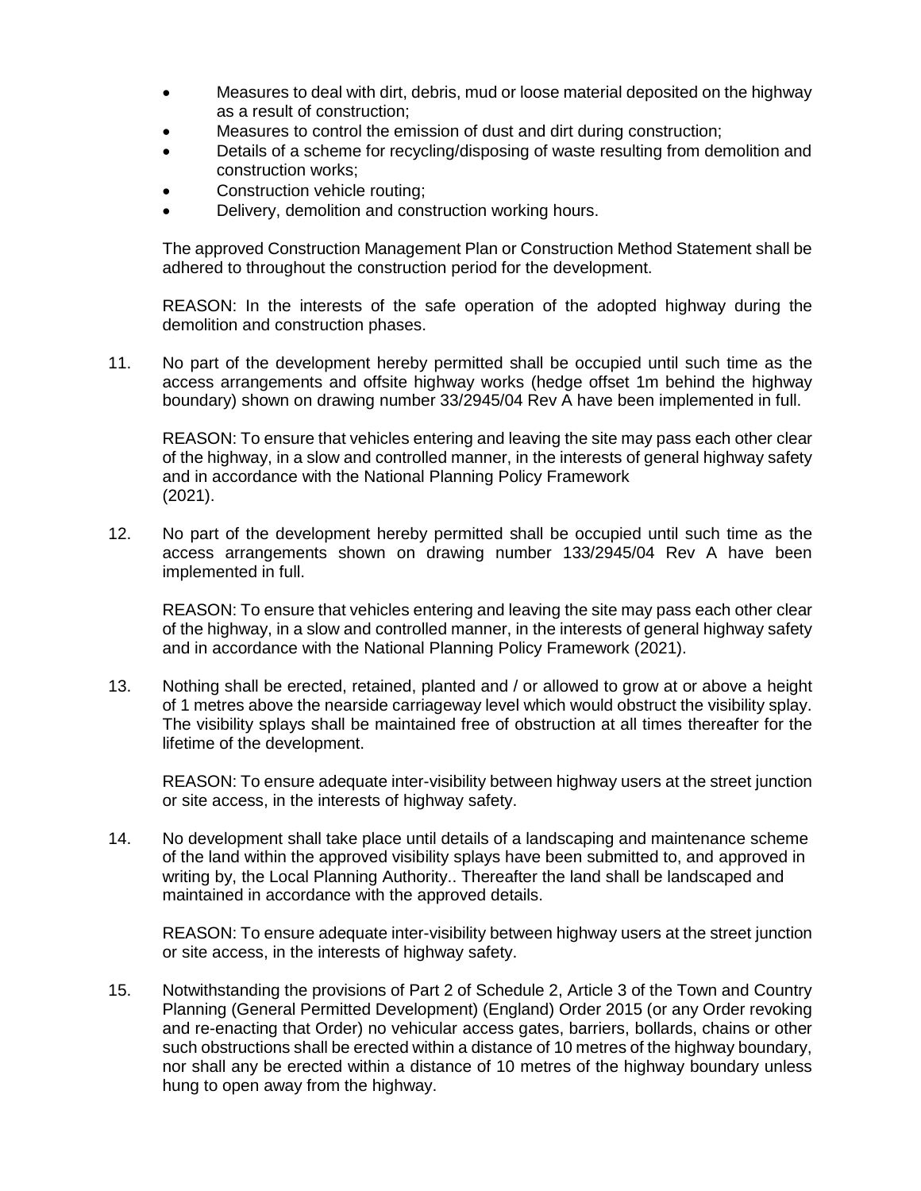- Measures to deal with dirt, debris, mud or loose material deposited on the highway as a result of construction;
- Measures to control the emission of dust and dirt during construction;
- Details of a scheme for recycling/disposing of waste resulting from demolition and construction works;
- Construction vehicle routing;
- Delivery, demolition and construction working hours.

The approved Construction Management Plan or Construction Method Statement shall be adhered to throughout the construction period for the development.

REASON: In the interests of the safe operation of the adopted highway during the demolition and construction phases.

11. No part of the development hereby permitted shall be occupied until such time as the access arrangements and offsite highway works (hedge offset 1m behind the highway boundary) shown on drawing number 33/2945/04 Rev A have been implemented in full.

REASON: To ensure that vehicles entering and leaving the site may pass each other clear of the highway, in a slow and controlled manner, in the interests of general highway safety and in accordance with the National Planning Policy Framework (2021).

12. No part of the development hereby permitted shall be occupied until such time as the access arrangements shown on drawing number 133/2945/04 Rev A have been implemented in full.

REASON: To ensure that vehicles entering and leaving the site may pass each other clear of the highway, in a slow and controlled manner, in the interests of general highway safety and in accordance with the National Planning Policy Framework (2021).

13. Nothing shall be erected, retained, planted and / or allowed to grow at or above a height of 1 metres above the nearside carriageway level which would obstruct the visibility splay. The visibility splays shall be maintained free of obstruction at all times thereafter for the lifetime of the development.

REASON: To ensure adequate inter-visibility between highway users at the street junction or site access, in the interests of highway safety.

14. No development shall take place until details of a landscaping and maintenance scheme of the land within the approved visibility splays have been submitted to, and approved in writing by, the Local Planning Authority.. Thereafter the land shall be landscaped and maintained in accordance with the approved details.

REASON: To ensure adequate inter-visibility between highway users at the street junction or site access, in the interests of highway safety.

15. Notwithstanding the provisions of Part 2 of Schedule 2, Article 3 of the Town and Country Planning (General Permitted Development) (England) Order 2015 (or any Order revoking and re-enacting that Order) no vehicular access gates, barriers, bollards, chains or other such obstructions shall be erected within a distance of 10 metres of the highway boundary, nor shall any be erected within a distance of 10 metres of the highway boundary unless hung to open away from the highway.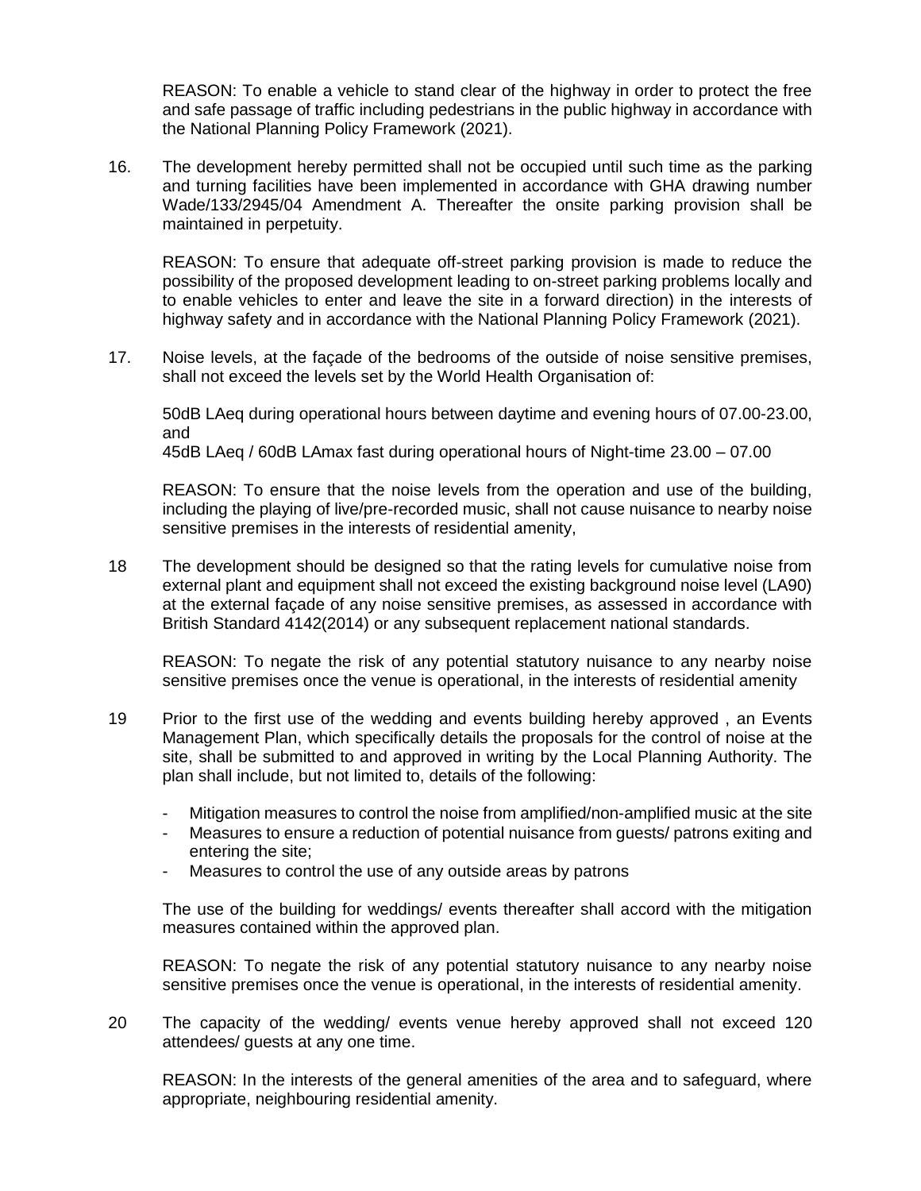REASON: To enable a vehicle to stand clear of the highway in order to protect the free and safe passage of traffic including pedestrians in the public highway in accordance with the National Planning Policy Framework (2021).

16. The development hereby permitted shall not be occupied until such time as the parking and turning facilities have been implemented in accordance with GHA drawing number Wade/133/2945/04 Amendment A. Thereafter the onsite parking provision shall be maintained in perpetuity.

REASON: To ensure that adequate off-street parking provision is made to reduce the possibility of the proposed development leading to on-street parking problems locally and to enable vehicles to enter and leave the site in a forward direction) in the interests of highway safety and in accordance with the National Planning Policy Framework (2021).

17. Noise levels, at the façade of the bedrooms of the outside of noise sensitive premises, shall not exceed the levels set by the World Health Organisation of:

50dB LAeq during operational hours between daytime and evening hours of 07.00-23.00, and

45dB LAeq / 60dB LAmax fast during operational hours of Night-time 23.00 – 07.00

REASON: To ensure that the noise levels from the operation and use of the building, including the playing of live/pre-recorded music, shall not cause nuisance to nearby noise sensitive premises in the interests of residential amenity,

18 The development should be designed so that the rating levels for cumulative noise from external plant and equipment shall not exceed the existing background noise level (LA90) at the external façade of any noise sensitive premises, as assessed in accordance with British Standard 4142(2014) or any subsequent replacement national standards.

REASON: To negate the risk of any potential statutory nuisance to any nearby noise sensitive premises once the venue is operational, in the interests of residential amenity

- 19 Prior to the first use of the wedding and events building hereby approved , an Events Management Plan, which specifically details the proposals for the control of noise at the site, shall be submitted to and approved in writing by the Local Planning Authority. The plan shall include, but not limited to, details of the following:
	- Mitigation measures to control the noise from amplified/non-amplified music at the site
	- Measures to ensure a reduction of potential nuisance from guests/ patrons exiting and entering the site;
	- Measures to control the use of any outside areas by patrons

The use of the building for weddings/ events thereafter shall accord with the mitigation measures contained within the approved plan.

REASON: To negate the risk of any potential statutory nuisance to any nearby noise sensitive premises once the venue is operational, in the interests of residential amenity.

20 The capacity of the wedding/ events venue hereby approved shall not exceed 120 attendees/ guests at any one time.

REASON: In the interests of the general amenities of the area and to safeguard, where appropriate, neighbouring residential amenity.